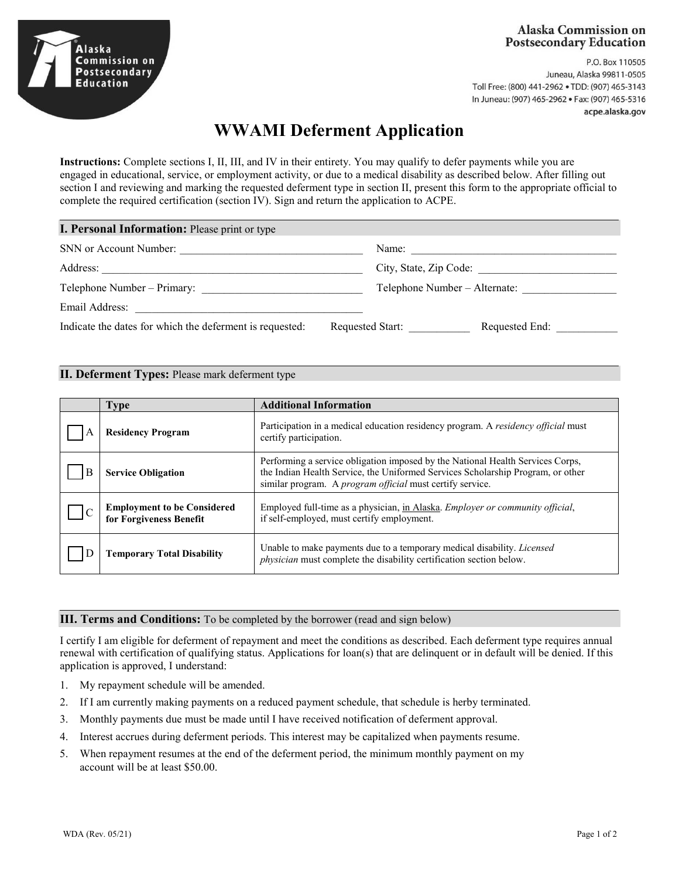## **Alaska Commission on Postsecondary Education**

Alaska ommission on Postsecondary Education

P.O. Box 110505 Juneau, Alaska 99811-0505 Toll Free: (800) 441-2962 . TDD: (907) 465-3143 In Juneau: (907) 465-2962 · Fax: (907) 465-5316 acpe.alaska.gov

# **WWAMI Deferment Application**

**Instructions:** Complete sections I, II, III, and IV in their entirety. You may qualify to defer payments while you are engaged in educational, service, or employment activity, or due to a medical disability as described below. After filling out section I and reviewing and marking the requested deferment type in section II, present this form to the appropriate official to complete the required certification (section IV). Sign and return the application to ACPE.

| <b>I. Personal Information:</b> Please print or type                         |                               |  |
|------------------------------------------------------------------------------|-------------------------------|--|
| SNN or Account Number:                                                       | Name:                         |  |
| Address:                                                                     | City, State, Zip Code:        |  |
| Telephone Number – Primary:                                                  | Telephone Number - Alternate: |  |
| Email Address:                                                               |                               |  |
| Indicate the dates for which the deferment is requested:<br>Requested Start: | Requested End:                |  |

#### **II. Deferment Types:** Please mark deferment type

| <b>Type</b>                                                   | <b>Additional Information</b>                                                                                                                                                                                                  |
|---------------------------------------------------------------|--------------------------------------------------------------------------------------------------------------------------------------------------------------------------------------------------------------------------------|
| <b>Residency Program</b>                                      | Participation in a medical education residency program. A residency official must<br>certify participation.                                                                                                                    |
| <b>Service Obligation</b>                                     | Performing a service obligation imposed by the National Health Services Corps,<br>the Indian Health Service, the Uniformed Services Scholarship Program, or other<br>similar program. A program official must certify service. |
| <b>Employment to be Considered</b><br>for Forgiveness Benefit | Employed full-time as a physician, in Alaska. <i>Employer or community official</i> ,<br>if self-employed, must certify employment.                                                                                            |
| <b>Temporary Total Disability</b>                             | Unable to make payments due to a temporary medical disability. Licensed<br>physician must complete the disability certification section below.                                                                                 |

## **III. Terms and Conditions:** To be completed by the borrower (read and sign below)

I certify I am eligible for deferment of repayment and meet the conditions as described. Each deferment type requires annual renewal with certification of qualifying status. Applications for loan(s) that are delinquent or in default will be denied. If this application is approved, I understand:

- 1. My repayment schedule will be amended.
- 2. If I am currently making payments on a reduced payment schedule, that schedule is herby terminated.
- 3. Monthly payments due must be made until I have received notification of deferment approval.
- 4. Interest accrues during deferment periods. This interest may be capitalized when payments resume.
- 5. When repayment resumes at the end of the deferment period, the minimum monthly payment on my account will be at least \$50.00.